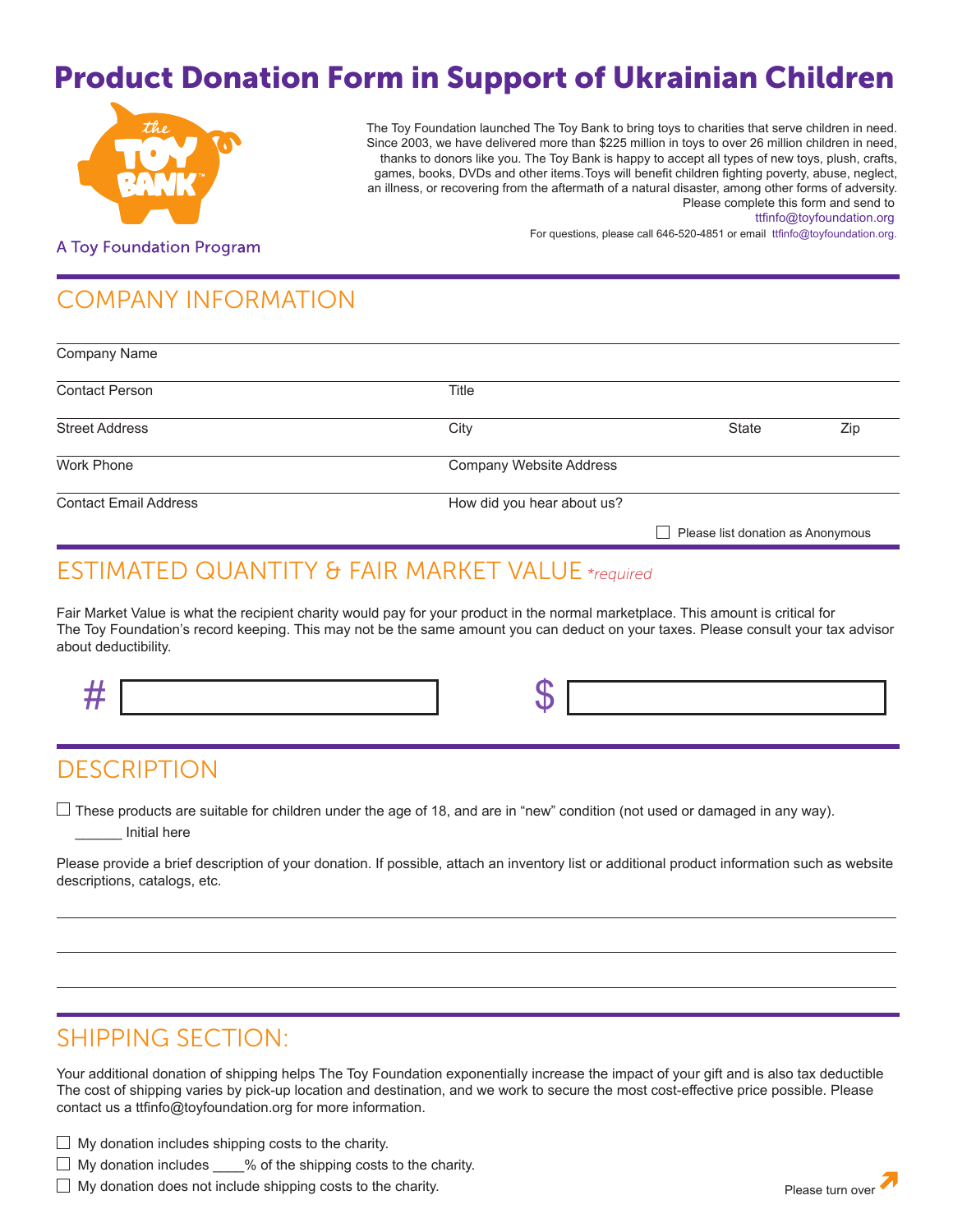# Product Donation Form in Support of Ukrainian Children



The Toy Foundation launched The Toy Bank to bring toys to charities that serve children in need. Since 2003, we have delivered more than \$225 million in toys to over 26 million children in need, thanks to donors like you. The Toy Bank is happy to accept all types of new toys, plush, crafts, games, books, DVDs and other items.Toys will benefit children fighting poverty, abuse, neglect, an illness, or recovering from the aftermath of a natural disaster, among other forms of adversity. Please complete this form and send to

For questions, please call 646-520-4851 or email ttfinfo@toyfoundation.org.

ttfinfo@toyfoundation.org

**A Toy Foundation Program** 

# COMPANY INFORMATION

| Company Name                 |                                |                                   |     |
|------------------------------|--------------------------------|-----------------------------------|-----|
| <b>Contact Person</b>        | <b>Title</b>                   |                                   |     |
| <b>Street Address</b>        | City                           | State                             | Zip |
| Work Phone                   | <b>Company Website Address</b> |                                   |     |
| <b>Contact Email Address</b> | How did you hear about us?     |                                   |     |
|                              |                                | Please list donation as Anonymous |     |

#### ESTIMATED QUANTITY & FAIR MARKET VALUE *\*required*

Fair Market Value is what the recipient charity would pay for your product in the normal marketplace. This amount is critical for The Toy Foundation's record keeping. This may not be the same amount you can deduct on your taxes. Please consult your tax advisor about deductibility.

### **DESCRIPTION**

 $\Box$  These products are suitable for children under the age of 18, and are in "new" condition (not used or damaged in any way).

\_\_\_\_\_\_ Initial here

Please provide a brief description of your donation. If possible, attach an inventory list or additional product information such as website descriptions, catalogs, etc.

### SHIPPING SECTION:

Your additional donation of shipping helps The Toy Foundation exponentially increase the impact of your gift and is also tax deductible The cost of shipping varies by pick-up location and destination, and we work to secure the most cost-effective price possible. Please contact us a ttfinfo@toyfoundation.org for more information.

 $\Box$  My donation includes shipping costs to the charity.

 $\Box$  My donation includes  $\degree$  % of the shipping costs to the charity.

 $\Box$  My donation does not include shipping costs to the charity.  $\Box$  and  $\Box$  and  $\Box$   $\Box$  Please turn over